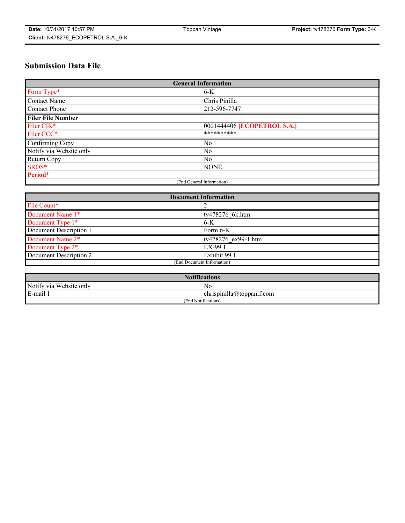# **Submission Data File**

| <b>General Information</b> |                             |
|----------------------------|-----------------------------|
| Form Type*                 | $6-K$                       |
| Contact Name               | Chris Pinilla               |
| Contact Phone              | 212-596-7747                |
| <b>Filer File Number</b>   |                             |
| Filer CIK*                 | 0001444406 [ECOPETROL S.A.] |
| Filer CCC*                 | **********                  |
| Confirming Copy            | $\overline{N_0}$            |
| Notify via Website only    | $\overline{N_0}$            |
| <b>Return Copy</b>         | $\overline{N_0}$            |
| SROS*                      | <b>NONE</b>                 |
| Period*                    |                             |
| (End General Information)  |                             |

| <b>Document Information</b> |                     |
|-----------------------------|---------------------|
| File Count*                 |                     |
| Document Name 1*            | tv478276 6k.htm     |
| Document Type 1*            | $6-K$               |
| Document Description 1      | Form 6-K            |
| Document Name 2*            | tv478276 ex99-1.htm |
| Document Type 2*            | EX-99.1             |
| Document Description 2      | Exhibit 99.1        |
| (End Document Information)  |                     |

| <b>Notifications</b>    |                           |
|-------------------------|---------------------------|
| Notify via Website only | N0                        |
| E-mail 1                | chrispinilla@toppanlf.com |
| (End Notifications)     |                           |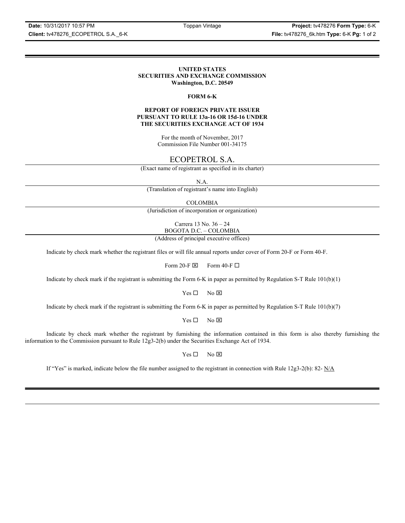**Date:** 10/31/2017 10:57 PM Toppan Vintage **Project:** tv478276 **Form Type:** 6-K

#### **UNITED STATES SECURITIES AND EXCHANGE COMMISSION Washington, D.C. 20549**

#### **FORM 6-K**

#### **REPORT OF FOREIGN PRIVATE ISSUER PURSUANT TO RULE 13a-16 OR 15d-16 UNDER THE SECURITIES EXCHANGE ACT OF 1934**

For the month of November, 2017 Commission File Number 001-34175

## ECOPETROL S.A.

(Exact name of registrant as specified in its charter)

N.A.

(Translation of registrant's name into English)

COLOMBIA

(Jurisdiction of incorporation or organization)

Carrera 13 No. 36 – 24 BOGOTA D.C. – COLOMBIA

(Address of principal executive offices)

Indicate by check mark whether the registrant files or will file annual reports under cover of Form 20-F or Form 40-F.

Form 20-F  $\boxtimes$  Form 40-F  $\Box$ 

Indicate by check mark if the registrant is submitting the Form 6-K in paper as permitted by Regulation S-T Rule 101(b)(1)

 $Yes \Box$  No  $\overline{\times}$ 

Indicate by check mark if the registrant is submitting the Form 6-K in paper as permitted by Regulation S-T Rule 101(b)(7)

 $Yes \Box$  No  $\boxtimes$ 

Indicate by check mark whether the registrant by furnishing the information contained in this form is also thereby furnishing the information to the Commission pursuant to Rule 12g3-2(b) under the Securities Exchange Act of 1934.

 $Yes \Box$  No  $\boxtimes$ 

If "Yes" is marked, indicate below the file number assigned to the registrant in connection with Rule 12g3-2(b): 82-  $N/A$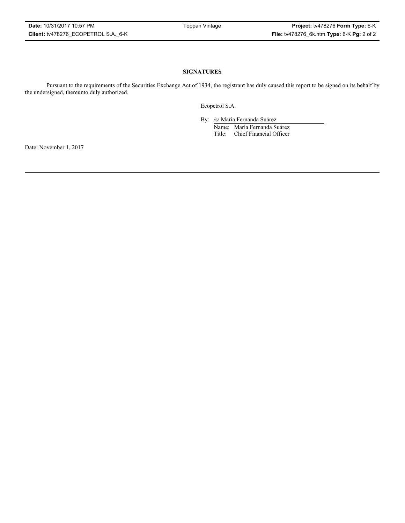#### **SIGNATURES**

Pursuant to the requirements of the Securities Exchange Act of 1934, the registrant has duly caused this report to be signed on its behalf by the undersigned, thereunto duly authorized.

Ecopetrol S.A.

By: /s/ María Fernanda Suárez Name: María Fernanda Suárez Title: Chief Financial Officer

Date: November 1, 2017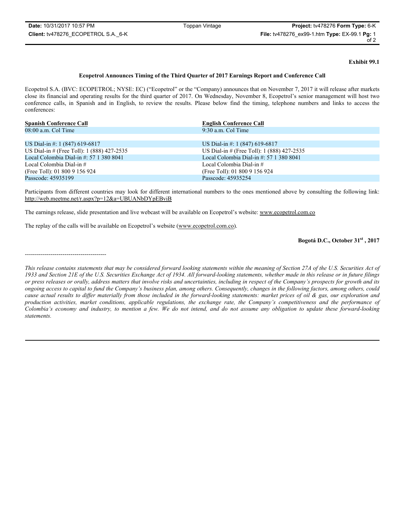**Exhibit 99.1**

#### **Ecopetrol Announces Timing of the Third Quarter of 2017 Earnings Report and Conference Call**

Ecopetrol S.A. (BVC: ECOPETROL; NYSE: EC) ("Ecopetrol" or the "Company) announces that on November 7, 2017 it will release after markets close its financial and operating results for the third quarter of 2017. On Wednesday, November 8, Ecopetrol's senior management will host two conference calls, in Spanish and in English, to review the results. Please below find the timing, telephone numbers and links to access the conferences:

| <b>Spanish Conference Call</b>              | <b>English Conference Call</b>              |
|---------------------------------------------|---------------------------------------------|
| $08:00$ a.m. Col Time                       | $9:30$ a.m. Col Time                        |
|                                             |                                             |
| US Dial-in #: 1 $(847)$ 619-6817            | US Dial-in #: 1 (847) 619-6817              |
| US Dial-in # (Free Toll): 1 (888) 427-2535  | US Dial-in # (Free Toll): 1 (888) 427-2535  |
| Local Colombia Dial-in $\#$ : 57 1 380 8041 | Local Colombia Dial-in $\#$ : 57 1 380 8041 |
| Local Colombia Dial-in $#$                  | Local Colombia Dial-in $#$                  |
| (Free Toll): 01 800 9 156 924               | (Free Toll): 01 800 9 156 924               |
| Passcode: 45935199                          | Passcode: 45935254                          |

Participants from different countries may look for different international numbers to the ones mentioned above by consulting the following link: http://web.meetme.net/r.aspx?p=12&a=UBUANbDYpEBviB

The earnings release, slide presentation and live webcast will be available on Ecopetrol's website: www.ecopetrol.com.co

The replay of the calls will be available on Ecopetrol's website (www.ecopetrol.com.co).

#### **Bogotá D.C., October 31st , 2017**

-----------------------------------------

*This release contains statements that may be considered forward looking statements within the meaning of Section 27A of the U.S. Securities Act of 1933 and Section 21E of the U.S. Securities Exchange Act of 1934. All forward-looking statements, whether made in this release or in future filings or press releases or orally, address matters that involve risks and uncertainties, including in respect of the Company's prospects for growth and its ongoing access to capital to fund the Company's business plan, among others. Consequently, changes in the following factors, among others, could cause actual results to differ materially from those included in the forward-looking statements: market prices of oil & gas, our exploration and production activities, market conditions, applicable regulations, the exchange rate, the Company's competitiveness and the performance of Colombia's economy and industry, to mention a few. We do not intend, and do not assume any obligation to update these forward-looking statements.*